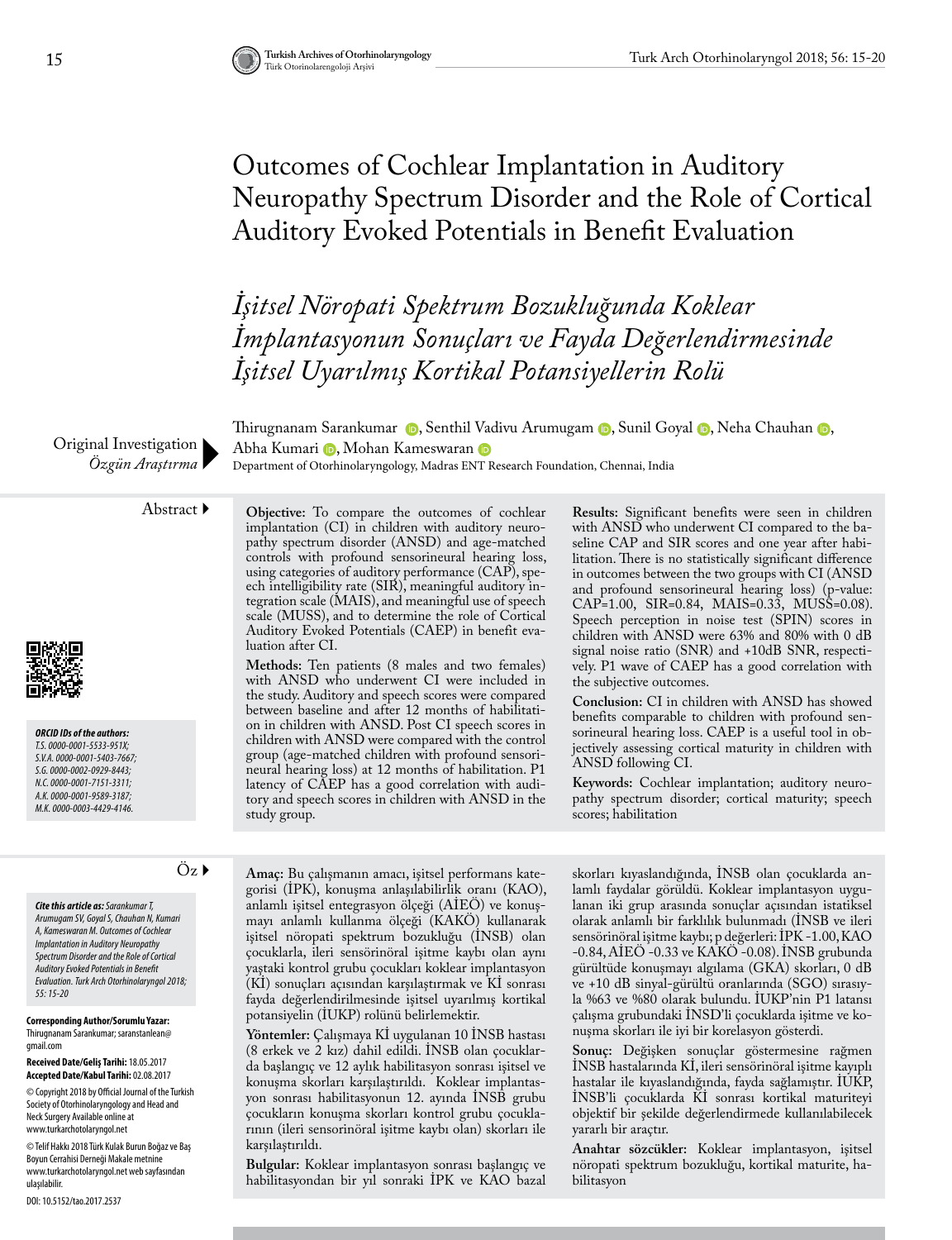# Outcomes of Cochlear Implantation in Auditory Neuropathy Spectrum Disorder and the Role of Cortical Auditory Evoked Potentials in Benefit Evaluation

*İşitsel Nöropati Spektrum Bozukluğunda Koklear İmplantasyonun Sonuçları ve Fayda Değerlendirmesinde İşitsel Uyarılmış Kortikal Potansiyellerin Rolü* 

Original Investigation *Özgün Araştırma*

Thirugnanam Sarankumar (D[,](https://orcid.org/0000-0001-5533-951X) Senthil Vadivu Arumugam (D, Sunil Goyal (D, Neha Chauhan (D, AbhaKumari D, Mohan Kameswaran D

Department of Otorhinolaryngology, Madras ENT Research Foundation, Chennai, India



*ORCID IDs of the authors: T.S. 0000-0001-5533-951X; S.V.A. 0000-0001-5403-7667; S.G. 0000-0002-0929-8443; N.C. 0000-0001-7151-3311; A.K. 0000-0001-9589-3187; M.K. 0000-0003-4429-4146.*

Abstract **Objective:** To compare the outcomes of cochlear implantation (CI) in children with auditory neuropathy spectrum disorder (ANSD) and age-matched controls with profound sensorineural hearing loss, using categories of auditory performance (CAP), speech intelligibility rate (SIR), meaningful auditory integration scale (MAIS), and meaningful use of speech scale (MUSS), and to determine the role of Cortical Auditory Evoked Potentials (CAEP) in benefit evaluation after CI.

**Methods:** Ten patients (8 males and two females) with ANSD who underwent CI were included in the study. Auditory and speech scores were compared between baseline and after 12 months of habilitation in children with ANSD. Post CI speech scores in children with ANSD were compared with the control group (age-matched children with profound sensorineural hearing loss) at 12 months of habilitation. P1 latency of CAEP has a good correlation with auditory and speech scores in children with ANSD in the study group.

**Results:** Significant benefits were seen in children with ANSD who underwent CI compared to the baseline CAP and SIR scores and one year after habilitation. There is no statistically significant difference in outcomes between the two groups with CI (ANSD and profound sensorineural hearing loss) (p-value: CAP=1.00, SIR=0.84, MAIS=0.33, MUSS=0.08). Speech perception in noise test (SPIN) scores in children with ANSD were 63% and 80% with 0 dB signal noise ratio (SNR) and +10dB SNR, respectively. P1 wave of CAEP has a good correlation with the subjective outcomes.

**Conclusion:** CI in children with ANSD has showed benefits comparable to children with profound sensorineural hearing loss. CAEP is a useful tool in objectively assessing cortical maturity in children with ANSD following CI.

**Keywords:** Cochlear implantation; auditory neuropathy spectrum disorder; cortical maturity; speech scores; habilitation

*Cite this article as: Sarankumar T, Arumugam SV, Goyal S, Chauhan N, Kumari A, Kameswaran M. Outcomes of Cochlear Implantation in Auditory Neuropathy Spectrum Disorder and the Role of Cortical Auditory Evoked Potentials in Benefit Evaluation. Turk Arch Otorhinolaryngol 2018; 55: 15-20*

**Corresponding Author/Sorumlu Yazar:**  Thirugnanam Sarankumar; saranstanlean@ gmail.com

**Received Date/Geliş Tarihi:** 18.05.2017 **Accepted Date/Kabul Tarihi:** 02.08.2017

© Copyright 2018 by Official Journal of the Turkish Society of Otorhinolaryngology and Head and Neck Surgery Available online at www.turkarchotolaryngol.net

© Telif Hakkı 2018 Türk Kulak Burun Boğaz ve Baş Boyun Cerrahisi Derneği Makale metnine www.turkarchotolaryngol.net web sayfasından ulaşılabilir.

DOI: 10.5152/tao.2017.2537

Öz **Amaç:** Bu çalışmanın amacı, işitsel performans kategorisi (İPK), konuşma anlaşılabilirlik oranı (KAO), anlamlı işitsel entegrasyon ölçeği (AİEÖ) ve konuşmayı anlamlı kullanma ölçeği (KAKÖ) kullanarak işitsel nöropati spektrum bozukluğu (İNSB) olan çocuklarla, ileri sensörinöral işitme kaybı olan aynı yaştaki kontrol grubu çocukları koklear implantasyon (Kİ) sonuçları açısından karşılaştırmak ve Kİ sonrası fayda değerlendirilmesinde işitsel uyarılmış kortikal potansiyelin (İUKP) rolünü belirlemektir.

> **Yöntemler:** Çalışmaya Kİ uygulanan 10 İNSB hastası (8 erkek ve 2 kız) dahil edildi. İNSB olan çocuklarda başlangıç ve 12 aylık habilitasyon sonrası işitsel ve konuşma skorları karşılaştırıldı. Koklear implantasyon sonrası habilitasyonun 12. ayında İNSB grubu çocukların konuşma skorları kontrol grubu çocuklarının (ileri sensorinöral işitme kaybı olan) skorları ile karşılaştırıldı.

> **Bulgular:** Koklear implantasyon sonrası başlangıç ve habilitasyondan bir yıl sonraki İPK ve KAO bazal

skorları kıyaslandığında, İNSB olan çocuklarda anlamlı faydalar görüldü. Koklear implantasyon uygulanan iki grup arasında sonuçlar açısından istatiksel olarak anlamlı bir farklılık bulunmadı (İNSB ve ileri sensörinöral işitme kaybı; p değerleri: İPK -1.00, KAO -0.84, AİEÖ -0.33 ve KAKÖ -0.08). İNSB grubunda gürültüde konuşmayı algılama (GKA) skorları, 0 dB ve +10 dB sinyal-gürültü oranlarında (SGO) sırasıyla %63 ve %80 olarak bulundu. İUKP'nin P1 latansı çalışma grubundaki İNSD'li çocuklarda işitme ve konuşma skorları ile iyi bir korelasyon gösterdi.

**Sonuç:** Değişken sonuçlar göstermesine rağmen İNSB hastalarında Kİ, ileri sensörinöral işitme kayıplı hastalar ile kıyaslandığında, fayda sağlamıştır. İUKP, İNSB'li çocuklarda Kİ sonrası kortikal maturiteyi objektif bir şekilde değerlendirmede kullanılabilecek yararlı bir araçtır.

**Anahtar sözcükler:** Koklear implantasyon, işitsel nöropati spektrum bozukluğu, kortikal maturite, habilitasyon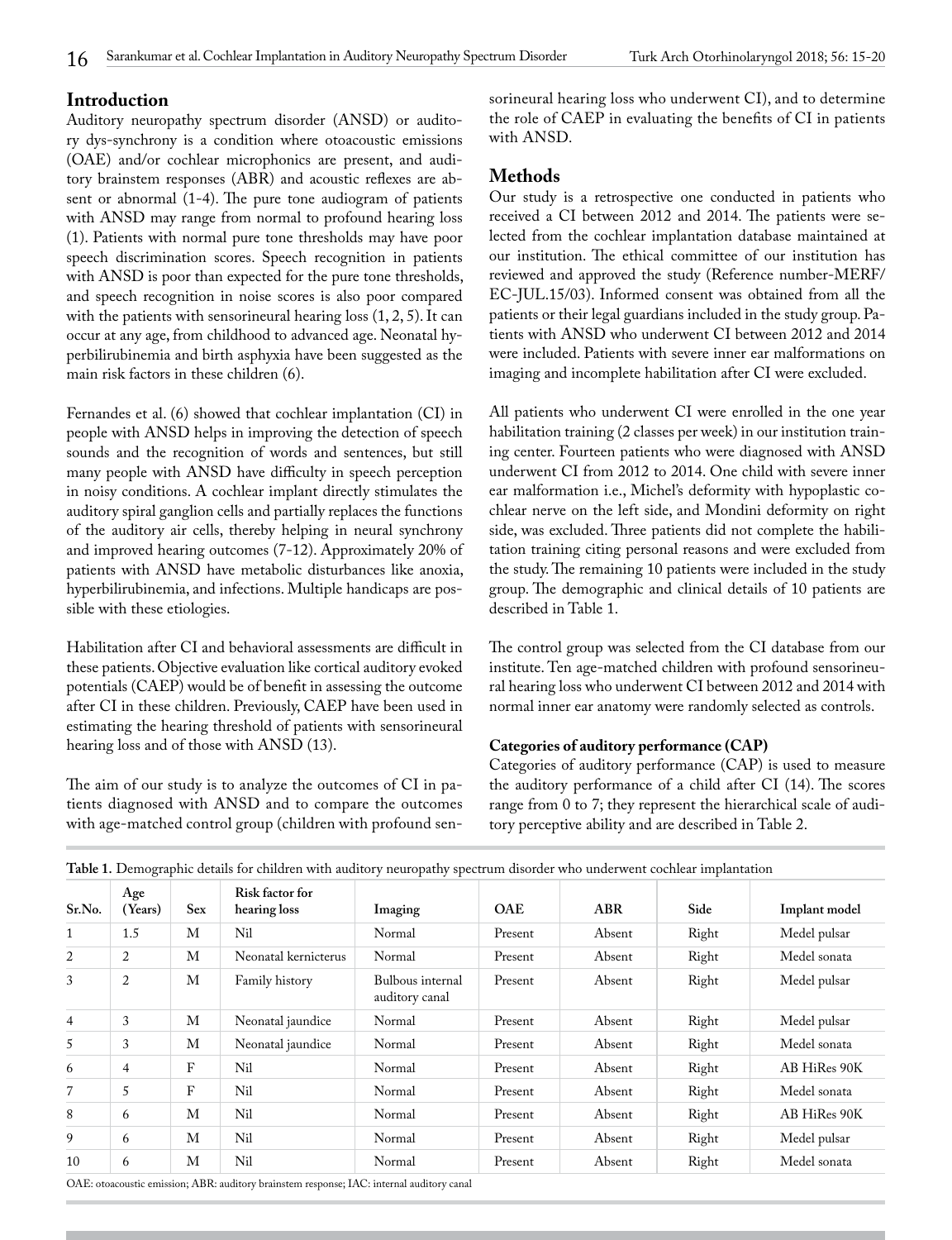# **Introduction**

Auditory neuropathy spectrum disorder (ANSD) or auditory dys-synchrony is a condition where otoacoustic emissions (OAE) and/or cochlear microphonics are present, and auditory brainstem responses (ABR) and acoustic reflexes are absent or abnormal (1-4). The pure tone audiogram of patients with ANSD may range from normal to profound hearing loss (1). Patients with normal pure tone thresholds may have poor speech discrimination scores. Speech recognition in patients with ANSD is poor than expected for the pure tone thresholds, and speech recognition in noise scores is also poor compared with the patients with sensorineural hearing loss (1, 2, 5). It can occur at any age, from childhood to advanced age. Neonatal hyperbilirubinemia and birth asphyxia have been suggested as the main risk factors in these children (6).

Fernandes et al. (6) showed that cochlear implantation (CI) in people with ANSD helps in improving the detection of speech sounds and the recognition of words and sentences, but still many people with ANSD have difficulty in speech perception in noisy conditions. A cochlear implant directly stimulates the auditory spiral ganglion cells and partially replaces the functions of the auditory air cells, thereby helping in neural synchrony and improved hearing outcomes (7-12). Approximately 20% of patients with ANSD have metabolic disturbances like anoxia, hyperbilirubinemia, and infections. Multiple handicaps are possible with these etiologies.

Habilitation after CI and behavioral assessments are difficult in these patients. Objective evaluation like cortical auditory evoked potentials (CAEP) would be of benefit in assessing the outcome after CI in these children. Previously, CAEP have been used in estimating the hearing threshold of patients with sensorineural hearing loss and of those with ANSD (13).

The aim of our study is to analyze the outcomes of CI in patients diagnosed with ANSD and to compare the outcomes with age-matched control group (children with profound sensorineural hearing loss who underwent CI), and to determine the role of CAEP in evaluating the benefits of CI in patients with ANSD.

# **Methods**

Our study is a retrospective one conducted in patients who received a CI between 2012 and 2014. The patients were selected from the cochlear implantation database maintained at our institution. The ethical committee of our institution has reviewed and approved the study (Reference number-MERF/ EC-JUL.15/03). Informed consent was obtained from all the patients or their legal guardians included in the study group. Patients with ANSD who underwent CI between 2012 and 2014 were included. Patients with severe inner ear malformations on imaging and incomplete habilitation after CI were excluded.

All patients who underwent CI were enrolled in the one year habilitation training (2 classes per week) in our institution training center. Fourteen patients who were diagnosed with ANSD underwent CI from 2012 to 2014. One child with severe inner ear malformation i.e., Michel's deformity with hypoplastic cochlear nerve on the left side, and Mondini deformity on right side, was excluded. Three patients did not complete the habilitation training citing personal reasons and were excluded from the study. The remaining 10 patients were included in the study group. The demographic and clinical details of 10 patients are described in Table 1.

The control group was selected from the CI database from our institute. Ten age-matched children with profound sensorineural hearing loss who underwent CI between 2012 and 2014 with normal inner ear anatomy were randomly selected as controls.

#### **Categories of auditory performance (CAP)**

Categories of auditory performance (CAP) is used to measure the auditory performance of a child after CI (14). The scores range from 0 to 7; they represent the hierarchical scale of auditory perceptive ability and are described in Table 2.

| Sr.No.         | Age<br>Years) | Sex | Risk factor for<br>hearing loss | Imaging                            | <b>OAE</b> | ABR    | Side  | Implant model |
|----------------|---------------|-----|---------------------------------|------------------------------------|------------|--------|-------|---------------|
| $\mathbf{1}$   | 1.5           | M   | Nil                             | Normal                             | Present    | Absent | Right | Medel pulsar  |
| 2              | 2             | M   | Neonatal kernicterus            | Normal                             | Present    | Absent | Right | Medel sonata  |
| 3              | 2             | M   | Family history                  | Bulbous internal<br>auditory canal | Present    | Absent | Right | Medel pulsar  |
| $\overline{4}$ | 3             | M   | Neonatal jaundice               | Normal                             | Present    | Absent | Right | Medel pulsar  |
| 5              | 3             | M   | Neonatal jaundice               | Normal                             | Present    | Absent | Right | Medel sonata  |
| 6              | 4             | F   | Nil                             | Normal                             | Present    | Absent | Right | AB HiRes 90K  |
|                | 5             | F   | Ni1                             | Normal                             | Present    | Absent | Right | Medel sonata  |
| 8              | 6             | M   | Nil                             | Normal                             | Present    | Absent | Right | AB HiRes 90K  |
| 9              | 6             | M   | Ni1                             | Normal                             | Present    | Absent | Right | Medel pulsar  |
| 10             | 6             | M   | Nil                             | Normal                             | Present    | Absent | Right | Medel sonata  |

**Table 1.** Demographic details for children with auditory neuropathy spectrum disorder who underwent cochlear implantation

OAE: otoacoustic emission; ABR: auditory brainstem response; IAC: internal auditory canal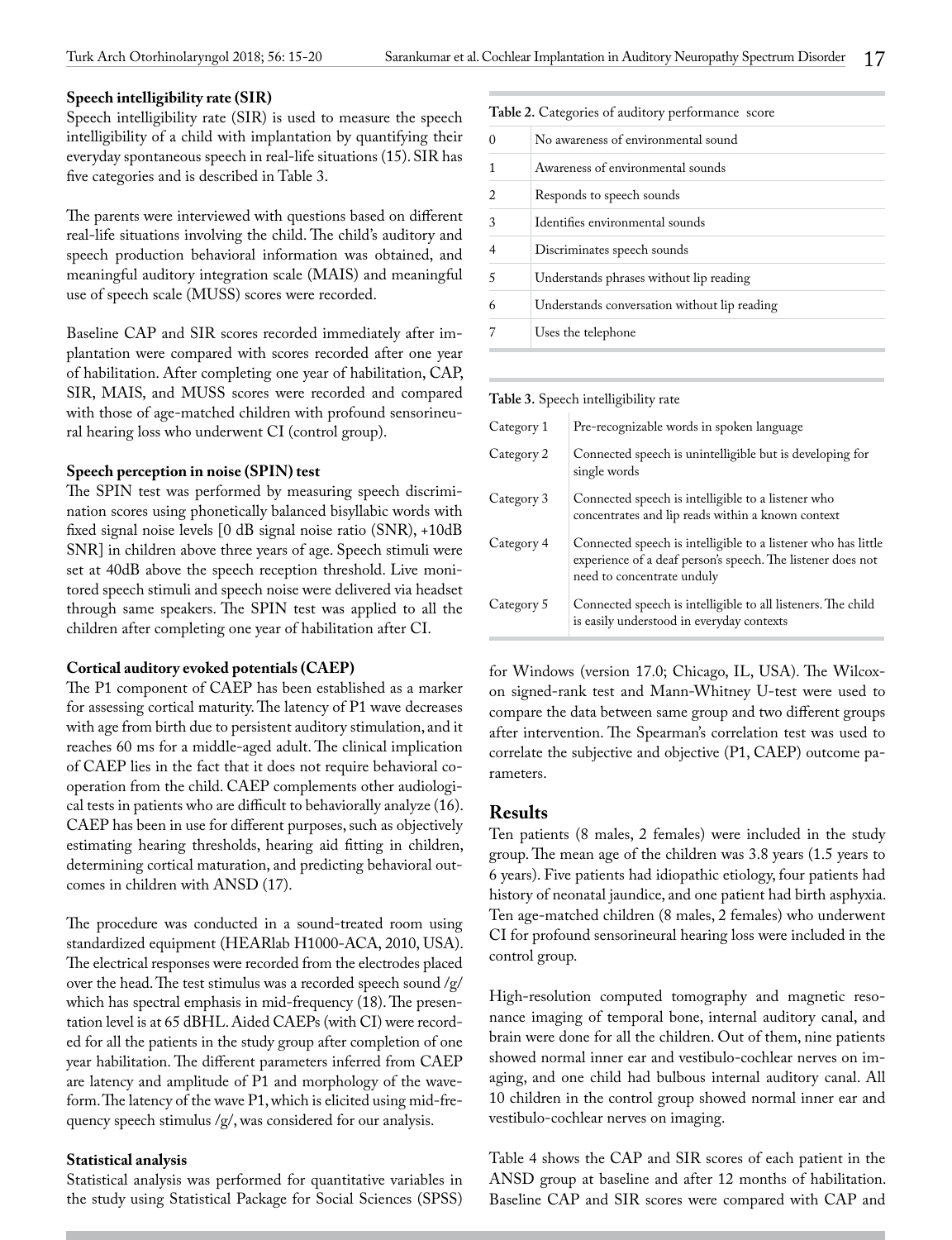# **Speech intelligibility rate (SIR)**

Speech intelligibility rate (SIR) is used to measure the speech intelligibility of a child with implantation by quantifying their everyday spontaneous speech in real-life situations (15). SIR has five categories and is described in Table 3.

The parents were interviewed with questions based on different real-life situations involving the child. The child's auditory and speech production behavioral information was obtained, and meaningful auditory integration scale (MAIS) and meaningful use of speech scale (MUSS) scores were recorded.

Baseline CAP and SIR scores recorded immediately after implantation were compared with scores recorded after one year of habilitation. After completing one year of habilitation, CAP, SIR, MAIS, and MUSS scores were recorded and compared with those of age-matched children with profound sensorineural hearing loss who underwent CI (control group).

#### **Speech perception in noise (SPIN) test**

The SPIN test was performed by measuring speech discrimination scores using phonetically balanced bisyllabic words with fixed signal noise levels [0 dB signal noise ratio (SNR), +10dB SNR] in children above three years of age. Speech stimuli were set at 40dB above the speech reception threshold. Live monitored speech stimuli and speech noise were delivered via headset through same speakers. The SPIN test was applied to all the children after completing one year of habilitation after CI.

#### **Cortical auditory evoked potentials (CAEP)**

The P1 component of CAEP has been established as a marker for assessing cortical maturity. The latency of P1 wave decreases with age from birth due to persistent auditory stimulation, and it reaches 60 ms for a middle-aged adult. The clinical implication of CAEP lies in the fact that it does not require behavioral cooperation from the child. CAEP complements other audiological tests in patients who are difficult to behaviorally analyze (16). CAEP has been in use for different purposes, such as objectively estimating hearing thresholds, hearing aid fitting in children, determining cortical maturation, and predicting behavioral outcomes in children with ANSD (17).

The procedure was conducted in a sound-treated room using standardized equipment (HEARlab H1000-ACA, 2010, USA). The electrical responses were recorded from the electrodes placed over the head. The test stimulus was a recorded speech sound /g/ which has spectral emphasis in mid-frequency (18). The presentation level is at 65 dBHL. Aided CAEPs (with CI) were recorded for all the patients in the study group after completion of one year habilitation. The different parameters inferred from CAEP are latency and amplitude of P1 and morphology of the waveform. The latency of the wave P1, which is elicited using mid-frequency speech stimulus /g/, was considered for our analysis.

#### **Statistical analysis**

Statistical analysis was performed for quantitative variables in the study using Statistical Package for Social Sciences (SPSS)

### **Table 2.** Categories of auditory performance score

|   | No awareness of environmental sound          |
|---|----------------------------------------------|
|   | Awareness of environmental sounds            |
| 2 | Responds to speech sounds                    |
|   | Identifies environmental sounds              |
|   | Discriminates speech sounds                  |
| 5 | Understands phrases without lip reading      |
|   | Understands conversation without lip reading |
|   | Uses the telephone                           |
|   |                                              |

#### **Table 3.** Speech intelligibility rate

| Category 1 | Pre-recognizable words in spoken language                                                                                                                  |
|------------|------------------------------------------------------------------------------------------------------------------------------------------------------------|
| Category 2 | Connected speech is unintelligible but is developing for<br>single words                                                                                   |
| Category 3 | Connected speech is intelligible to a listener who<br>concentrates and lip reads within a known context                                                    |
| Category 4 | Connected speech is intelligible to a listener who has little<br>experience of a deaf person's speech. The listener does not<br>need to concentrate unduly |
| Category 5 | Connected speech is intelligible to all listeners. The child<br>is easily understood in everyday contexts                                                  |

for Windows (version 17.0; Chicago, IL, USA). The Wilcoxon signed-rank test and Mann-Whitney U-test were used to compare the data between same group and two different groups after intervention. The Spearman's correlation test was used to correlate the subjective and objective (P1, CAEP) outcome parameters.

#### **Results**

Ten patients (8 males, 2 females) were included in the study group. The mean age of the children was 3.8 years (1.5 years to 6 years). Five patients had idiopathic etiology, four patients had history of neonatal jaundice, and one patient had birth asphyxia. Ten age-matched children (8 males, 2 females) who underwent CI for profound sensorineural hearing loss were included in the control group.

High-resolution computed tomography and magnetic resonance imaging of temporal bone, internal auditory canal, and brain were done for all the children. Out of them, nine patients showed normal inner ear and vestibulo-cochlear nerves on imaging, and one child had bulbous internal auditory canal. All 10 children in the control group showed normal inner ear and vestibulo-cochlear nerves on imaging.

Table 4 shows the CAP and SIR scores of each patient in the ANSD group at baseline and after 12 months of habilitation. Baseline CAP and SIR scores were compared with CAP and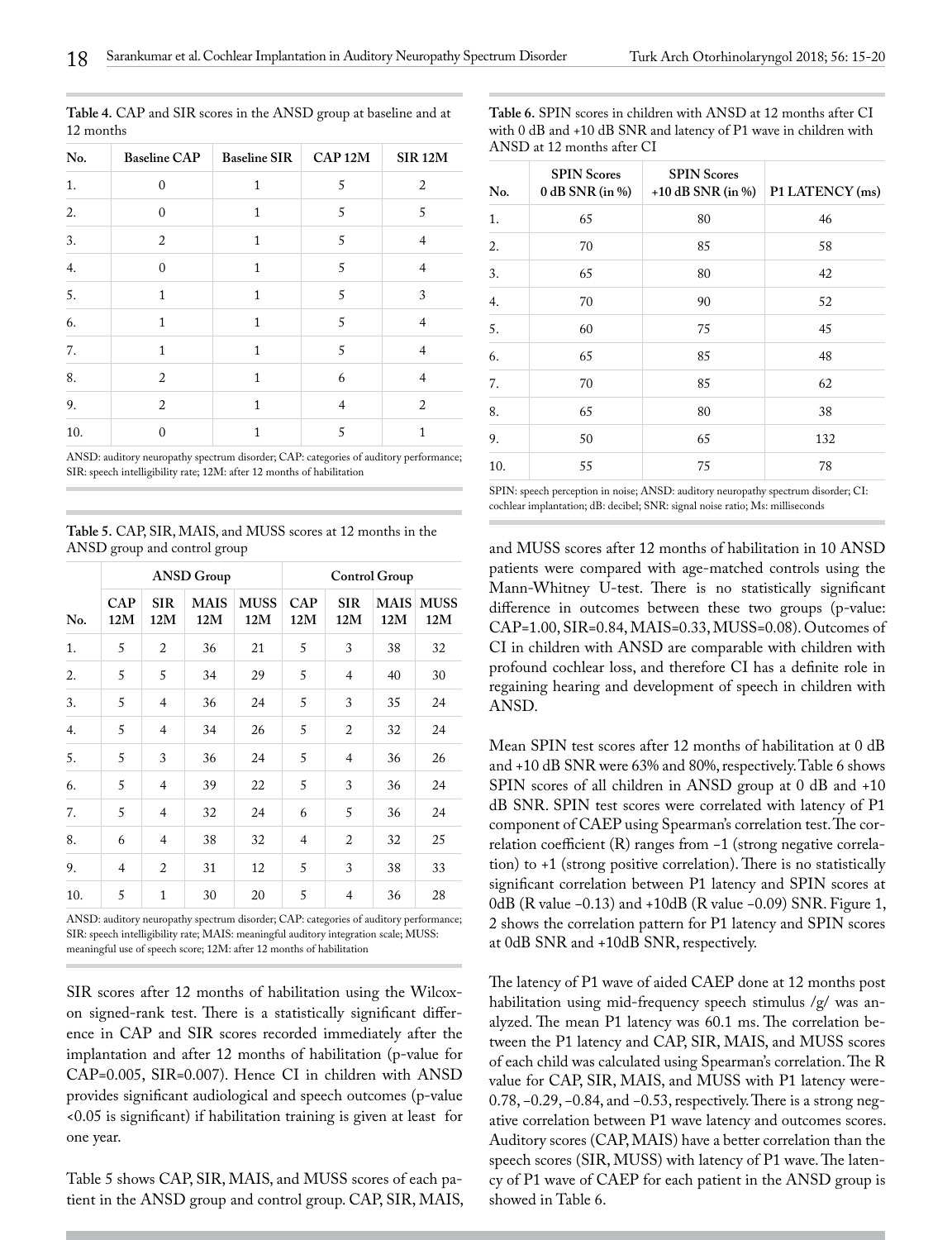| No. | <b>Baseline CAP</b> | <b>Baseline SIR</b> | CAP 12M | <b>SIR 12M</b> |
|-----|---------------------|---------------------|---------|----------------|
| 1.  | $\mathbf{0}$        | $\mathbf{1}$        | 5       | $\overline{2}$ |
| 2.  | $\Omega$            | $\mathbf{1}$        | 5       | 5              |
| 3.  | 2                   | $\mathbf{1}$        | 5       | $\overline{4}$ |
| 4.  | $\mathbf{0}$        | $\mathbf{1}$        | 5       | $\overline{4}$ |
| 5.  | 1                   | $\mathbf{1}$        | 5       | 3              |
| 6.  | $\mathbf{1}$        | $\mathbf{1}$        | 5       | $\overline{4}$ |
| 7.  | 1                   | 1                   | 5       | 4              |
| 8.  | 2                   | $\mathbf{1}$        | 6       | 4              |
| 9.  | 2                   | $\mathbf{1}$        | 4       | $\overline{2}$ |
| 10. | 0                   | 1                   | 5       | 1              |

**Table 4.** CAP and SIR scores in the ANSD group at baseline and at 12 months

**Table 6.** SPIN scores in children with ANSD at 12 months after CI with 0 dB and +10 dB SNR and latency of P1 wave in children with ANSD at 12 months after CI

| No. | <b>SPIN Scores</b><br>$0$ dB SNR (in %) | <b>SPIN Scores</b><br>+10 dB SNR (in $%$ ) | P1 LATENCY (ms) |
|-----|-----------------------------------------|--------------------------------------------|-----------------|
| 1.  | 65                                      | 80                                         | 46              |
| 2.  | 70                                      | 85                                         | 58              |
| 3.  | 65                                      | 80                                         | 42              |
| 4.  | 70                                      | 90                                         | 52              |
| 5.  | 60                                      | 75                                         | 45              |
| 6.  | 65                                      | 85                                         | 48              |
| 7.  | $70\,$                                  | 85                                         | 62              |
| 8.  | 65                                      | 80                                         | 38              |
| 9.  | 50                                      | 65                                         | 132             |
| 10. | 55                                      | 75                                         | 78              |

SPIN: speech perception in noise; ANSD: auditory neuropathy spectrum disorder; CI: cochlear implantation; dB: decibel; SNR: signal noise ratio; Ms: milliseconds

and MUSS scores after 12 months of habilitation in 10 ANSD patients were compared with age-matched controls using the Mann-Whitney U-test. There is no statistically significant difference in outcomes between these two groups (p-value: CAP=1.00, SIR=0.84, MAIS=0.33, MUSS=0.08). Outcomes of CI in children with ANSD are comparable with children with profound cochlear loss, and therefore CI has a definite role in regaining hearing and development of speech in children with ANSD.

Mean SPIN test scores after 12 months of habilitation at 0 dB and +10 dB SNR were 63% and 80%, respectively. Table 6 shows SPIN scores of all children in ANSD group at 0 dB and +10 dB SNR. SPIN test scores were correlated with latency of P1 component of CAEP using Spearman's correlation test. The correlation coefficient (R) ranges from −1 (strong negative correlation) to +1 (strong positive correlation). There is no statistically significant correlation between P1 latency and SPIN scores at 0dB (R value −0.13) and +10dB (R value −0.09) SNR. Figure 1, 2 shows the correlation pattern for P1 latency and SPIN scores at 0dB SNR and +10dB SNR, respectively.

The latency of P1 wave of aided CAEP done at 12 months post habilitation using mid-frequency speech stimulus /g/ was analyzed. The mean P1 latency was 60.1 ms. The correlation between the P1 latency and CAP, SIR, MAIS, and MUSS scores of each child was calculated using Spearman's correlation. The R value for CAP, SIR, MAIS, and MUSS with P1 latency were-0.78, −0.29, −0.84, and −0.53, respectively. There is a strong negative correlation between P1 wave latency and outcomes scores. Auditory scores (CAP, MAIS) have a better correlation than the speech scores (SIR, MUSS) with latency of P1 wave. The latency of P1 wave of CAEP for each patient in the ANSD group is showed in Table 6.

SIR: speech intelligibility rate; 12M: after 12 months of habilitation

ANSD: auditory neuropathy spectrum disorder; CAP: categories of auditory performance;

**Table 5.** CAP, SIR, MAIS, and MUSS scores at 12 months in the ANSD group and control group

| No. | <b>ANSD Group</b> |                   |                    |                    | Control Group  |                   |                    |                    |
|-----|-------------------|-------------------|--------------------|--------------------|----------------|-------------------|--------------------|--------------------|
|     | <b>CAP</b><br>12M | <b>SIR</b><br>12M | <b>MAIS</b><br>12M | <b>MUSS</b><br>12M | CAP<br>12M     | <b>SIR</b><br>12M | <b>MAIS</b><br>12M | <b>MUSS</b><br>12M |
| 1.  | 5                 | $\overline{2}$    | 36                 | 21                 | 5              | 3                 | 38                 | 32                 |
| 2.  | 5                 | 5                 | 34                 | 29                 | 5              | $\overline{4}$    | 40                 | 30                 |
| 3.  | 5                 | $\overline{4}$    | 36                 | 24                 | 5              | 3                 | 35                 | 24                 |
| 4.  | 5                 | $\overline{4}$    | 34                 | 26                 | 5              | $\overline{2}$    | 32                 | 24                 |
| 5.  | 5                 | 3                 | 36                 | 24                 | 5              | $\overline{4}$    | 36                 | 26                 |
| 6.  | 5                 | $\overline{4}$    | 39                 | 22                 | 5              | 3                 | 36                 | 24                 |
| 7.  | 5                 | $\overline{4}$    | 32                 | 24                 | 6              | 5                 | 36                 | 24                 |
| 8.  | 6                 | 4                 | 38                 | 32                 | $\overline{4}$ | $\overline{2}$    | 32                 | 25                 |
| 9.  | $\overline{4}$    | 2                 | 31                 | 12                 | 5              | 3                 | 38                 | 33                 |
| 10. | 5                 | $\mathbf{1}$      | 30                 | 20                 | 5              | $\overline{4}$    | 36                 | 28                 |

ANSD: auditory neuropathy spectrum disorder; CAP: categories of auditory performance; SIR: speech intelligibility rate; MAIS: meaningful auditory integration scale; MUSS: meaningful use of speech score; 12M: after 12 months of habilitation

SIR scores after 12 months of habilitation using the Wilcoxon signed-rank test. There is a statistically significant difference in CAP and SIR scores recorded immediately after the implantation and after 12 months of habilitation (p-value for CAP=0.005, SIR=0.007). Hence CI in children with ANSD provides significant audiological and speech outcomes (p-value <0.05 is significant) if habilitation training is given at least for one year.

Table 5 shows CAP, SIR, MAIS, and MUSS scores of each patient in the ANSD group and control group. CAP, SIR, MAIS,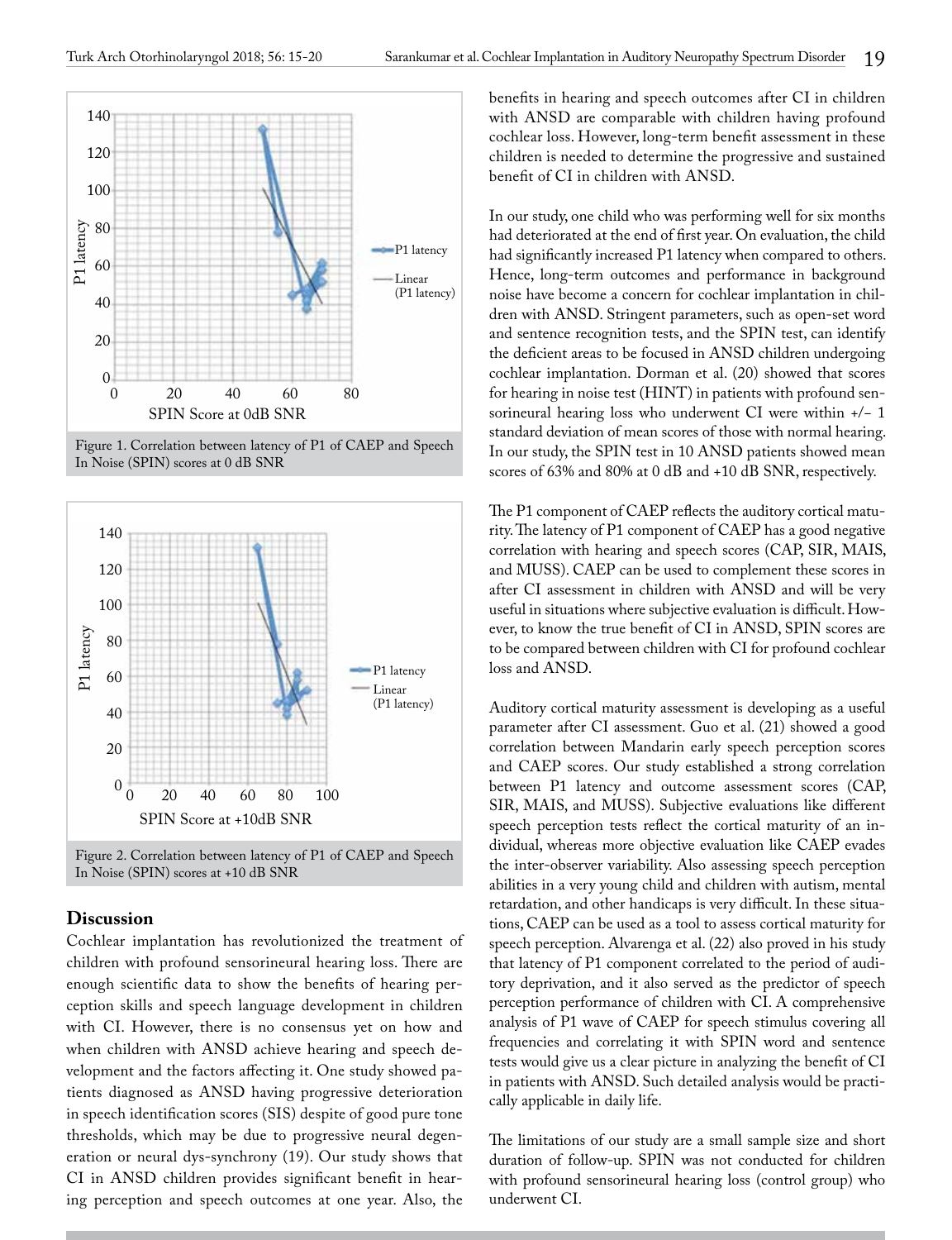

Figure 1. Correlation between latency of P1 of CAEP and Speech In Noise (SPIN) scores at 0 dB SNR



Figure 2. Correlation between latency of P1 of CAEP and Speech In Noise (SPIN) scores at +10 dB SNR

# **Discussion**

Cochlear implantation has revolutionized the treatment of children with profound sensorineural hearing loss. There are enough scientific data to show the benefits of hearing perception skills and speech language development in children with CI. However, there is no consensus yet on how and when children with ANSD achieve hearing and speech development and the factors affecting it. One study showed patients diagnosed as ANSD having progressive deterioration in speech identification scores (SIS) despite of good pure tone thresholds, which may be due to progressive neural degeneration or neural dys-synchrony (19). Our study shows that CI in ANSD children provides significant benefit in hearing perception and speech outcomes at one year. Also, the benefits in hearing and speech outcomes after CI in children with ANSD are comparable with children having profound cochlear loss. However, long-term benefit assessment in these children is needed to determine the progressive and sustained benefit of CI in children with ANSD.

In our study, one child who was performing well for six months had deteriorated at the end of first year. On evaluation, the child had significantly increased P1 latency when compared to others. Hence, long-term outcomes and performance in background noise have become a concern for cochlear implantation in children with ANSD. Stringent parameters, such as open-set word and sentence recognition tests, and the SPIN test, can identify the deficient areas to be focused in ANSD children undergoing cochlear implantation. Dorman et al. (20) showed that scores for hearing in noise test (HINT) in patients with profound sensorineural hearing loss who underwent CI were within +/− 1 standard deviation of mean scores of those with normal hearing. In our study, the SPIN test in 10 ANSD patients showed mean scores of 63% and 80% at 0 dB and +10 dB SNR, respectively.

The P1 component of CAEP reflects the auditory cortical maturity. The latency of P1 component of CAEP has a good negative correlation with hearing and speech scores (CAP, SIR, MAIS, and MUSS). CAEP can be used to complement these scores in after CI assessment in children with ANSD and will be very useful in situations where subjective evaluation is difficult. However, to know the true benefit of CI in ANSD, SPIN scores are to be compared between children with CI for profound cochlear loss and ANSD.

Auditory cortical maturity assessment is developing as a useful parameter after CI assessment. Guo et al. (21) showed a good correlation between Mandarin early speech perception scores and CAEP scores. Our study established a strong correlation between P1 latency and outcome assessment scores (CAP, SIR, MAIS, and MUSS). Subjective evaluations like different speech perception tests reflect the cortical maturity of an individual, whereas more objective evaluation like CAEP evades the inter-observer variability. Also assessing speech perception abilities in a very young child and children with autism, mental retardation, and other handicaps is very difficult. In these situations, CAEP can be used as a tool to assess cortical maturity for speech perception. Alvarenga et al. (22) also proved in his study that latency of P1 component correlated to the period of auditory deprivation, and it also served as the predictor of speech perception performance of children with CI. A comprehensive analysis of P1 wave of CAEP for speech stimulus covering all frequencies and correlating it with SPIN word and sentence tests would give us a clear picture in analyzing the benefit of CI in patients with ANSD. Such detailed analysis would be practically applicable in daily life.

The limitations of our study are a small sample size and short duration of follow-up. SPIN was not conducted for children with profound sensorineural hearing loss (control group) who underwent CI.